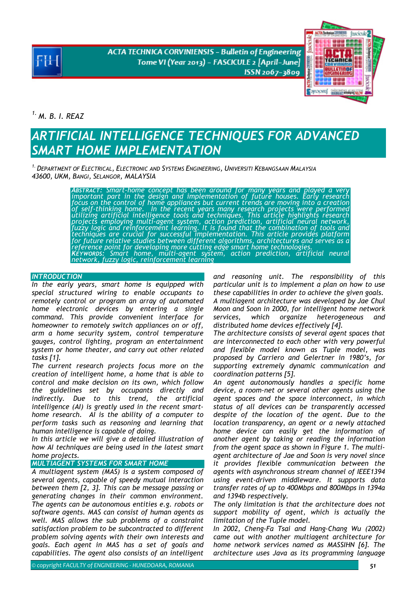**ACTA TECHNICA CORVINIENSIS - Bulletin of Engineering** Tome VI (Year 2013) - FASCICULE 2 [April-June] ISSN 2067-3809



*1. M. B. I. REAZ* 

# *ARTIFICIAL INTELLIGENCE TECHNIQUES FOR ADVANCED SMART HOME IMPLEMENTATION*

*1.DEPARTMENT OF ELECTRICAL, ELECTRONIC AND SYSTEMS ENGINEERING, UNIVERSITI KEBANGSAAN MALAYSIA 43600, UKM, BANGI, SELANGOR, MALAYSIA*

> *ABSTRACT: Smart-home concept has been around for many years and played a very important part in the design and implementation of future houses. Early research focus on the control of home appliances but current trends are moving into a creation of self-thinking home. In the recent years many research projects were performed*  utilizing artificial intelligence tools and techniques. This article highlights research<br>projects employing multi-agent system, action prediction, artificial neural network,<br>fuzzy logic and reinforcement learning. It is fo

## **INTRODUCTION**

*In the early years, smart home is equipped with special structured wiring to enable occupants to remotely control or program an array of automated home electronic devices by entering a single command. This provide convenient interface for homeowner to remotely switch appliances on or off, arm a home security system, control temperature gauges, control lighting, program an entertainment system or home theater, and carry out other related tasks [1].* 

*The current research projects focus more on the creation of intelligent home, a home that is able to control and make decision on its own, which follow the guidelines set by occupants directly and indirectly. Due to this trend, the artificial intelligence (AI) is greatly used in the recent smarthome research. AI is the ability of a computer to perform tasks such as reasoning and learning that human intelligence is capable of doing.* 

*In this article we will give a detailed illustration of how AI techniques are being used in the latest smart home projects.*

# *MULTIAGENT SYSTEMS FOR SMART HOME*

*A multiagent system (MAS) is a system composed of several agents, capable of speedy mutual interaction between them [2, 3]. This can be message passing or generating changes in their common environment. The agents can be autonomous entities e.g. robots or software agents. MAS can consist of human agents as well. MAS allows the sub problems of a constraint satisfaction problem to be subcontracted to different problem solving agents with their own interests and goals. Each agent in MAS has a set of goals and capabilities. The agent also consists of an intelligent* 

*and reasoning unit. The responsibility of this particular unit is to implement a plan on how to use these capabilities in order to achieve the given goals. A multiagent architecture was developed by Jae Chul Moon and Soon in 2000, for intelligent home network services, which organize heterogeneous and distributed home devices effectively [4].* 

*The architecture consists of several agent spaces that are interconnected to each other with very powerful and flexible model known as Tuple model, was proposed by Carriero and Gelertner in 1980's, for supporting extremely dynamic communication and coordination patterns [5].* 

*An agent autonomously handles a specific home device, a room-net or several other agents using the agent spaces and the space interconnect, in which status of all devices can be transparently accessed despite of the location of the agent. Due to the location transparency, an agent or a newly attached home device can easily get the information of another agent by taking or reading the information from the agent space as shown in Figure 1. The multiagent architecture of Jae and Soon is very novel since it provides flexible communication between the agents with asynchronous stream channel of IEEE1394 using event-driven middleware. It supports data transfer rates of up to 400Mbps and 800Mbps in 1394a and 1394b respectively.* 

*The only limitation is that the architecture does not support mobility of agent, which is actually the limitation of the Tuple model.* 

*In 2002, Cheng-Fa Tsai and Hang-Chang Wu (2002) came out with another multiagent architecture for home network services named as MASSIHN [6]. The architecture uses Java as its programming language*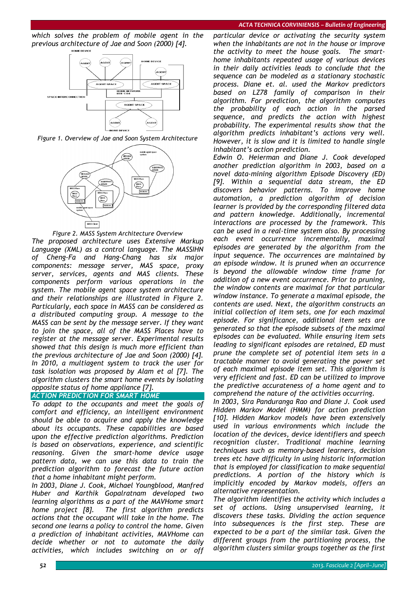*which solves the problem of mobile agent in the previous architecture of Jae and Soon (2000) [4].* 



*Figure 1. Overview of Jae and Soon System Architecture* 



*Figure 2. MASS System Architecture Overview The proposed architecture uses Extensive Markup Language (XML) as a control language. The MASSIHN of Cheng-Fa and Hang-Chang has six major components: message server, MAS space, proxy server, services, agents and MAS clients. These components perform various operations in the system. The mobile agent space system architecture and their relationships are illustrated in Figure 2. Particularly, each space in MASS can be considered as a distributed computing group. A message to the MASS can be sent by the message server. If they want to join the space, all of the MASS Places have to register at the message server. Experimental results showed that this design is much more efficient than the previous architecture of Jae and Soon (2000) [4]. In 2010, a multiagent system to track the user for task isolation was proposed by Alam et al [7]. The algorithm clusters the smart home events by isolating opposite status of home appliance [7].* 

# *ACTION PREDICTION FOR SMART HOME*

*To adapt to the occupants and meet the goals of comfort and efficiency, an intelligent environment should be able to acquire and apply the knowledge about its occupants. These capabilities are based upon the effective prediction algorithms. Prediction is based on observations, experience, and scientific reasoning. Given the smart-home device usage pattern data, we can use this data to train the prediction algorithm to forecast the future action that a home inhabitant might perform.* 

*In 2003, Diane J. Cook, Michael Youngblood, Manfred Huber and Karthik Gopalratnam developed two learning algorithms as a part of the MAVHome smart home project [8]. The first algorithm predicts actions that the occupant will take in the home. The second one learns a policy to control the home. Given a prediction of inhabitant activities, MAVHome can decide whether or not to automate the daily activities, which includes switching on or off* 

*particular device or activating the security system when the inhabitants are not in the house or improve the activity to meet the house goals. The smarthome inhabitants repeated usage of various devices in their daily activities leads to conclude that the sequence can be modeled as a stationary stochastic process. Diane et. al. used the Markov predictors based on LZ78 family of comparison in their algorithm. For prediction, the algorithm computes the probability of each action in the parsed sequence, and predicts the action with highest probability. The experimental results show that the algorithm predicts inhabitant's actions very well. However, it is slow and it is limited to handle single inhabitant's action prediction.* 

*Edwin O. Heierman and Diane J. Cook developed another prediction algorithm in 2003, based on a novel data-mining algorithm Episode Discovery (ED) [9]. Within a sequential data stream, the ED discovers behavior patterns. To improve home automation, a prediction algorithm of decision learner is provided by the corresponding filtered data and pattern knowledge. Additionally, incremental interactions are processed by the framework. This can be used in a real-time system also. By processing each event occurrence incrementally, maximal episodes are generated by the algorithm from the input sequence. The occurrences are maintained by an episode window. It is pruned when an occurrence is beyond the allowable window time frame for addition of a new event occurrence. Prior to pruning, the window contents are maximal for that particular window instance. To generate a maximal episode, the contents are used. Next, the algorithm constructs an initial collection of item sets, one for each maximal episode. For significance, additional item sets are generated so that the episode subsets of the maximal episodes can be evaluated. While ensuring item sets leading to significant episodes are retained, ED must prune the complete set of potential item sets in a tractable manner to avoid generating the power set of each maximal episode item set. This algorithm is very efficient and fast. ED can be utilized to improve the predictive accurateness of a home agent and to comprehend the nature of the activities occurring.* 

*In 2003, Sira Panduranga Rao and Diane J. Cook used Hidden Markov Model (HMM) for action prediction [10]. Hidden Markov models have been extensively used in various environments which include the location of the devices, device identifiers and speech recognition cluster. Traditional machine learning techniques such as memory-based learners, decision trees etc have difficulty in using historic information that is employed for classification to make sequential predictions. A portion of the history which is implicitly encoded by Markov models, offers an alternative representation.* 

*The algorithm identifies the activity which includes a set of actions. Using unsupervised learning, it discovers these tasks. Dividing the action sequence into subsequences is the first step. These are expected to be a part of the similar task. Given the different groups from the partitioning process, the algorithm clusters similar groups together as the first*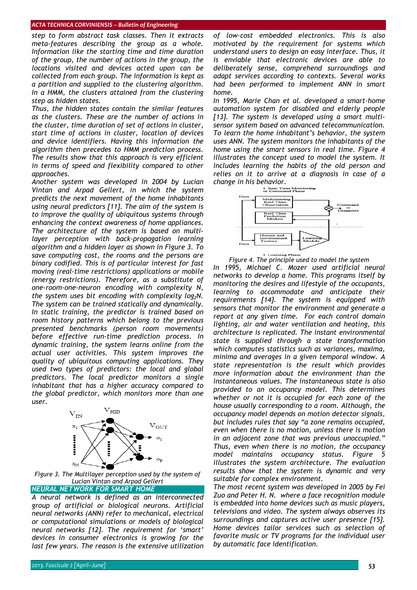*step to form abstract task classes. Then it extracts meta-features describing the group as a whole. Information like the starting time and time duration of the group, the number of actions in the group, the locations visited and devices acted upon can be collected from each group. The information is kept as a partition and supplied to the clustering algorithm. In a HMM, the clusters attained from the clustering step as hidden states.* 

*Thus, the hidden states contain the similar features as the clusters. These are the number of actions in the cluster, time duration of set of actions in cluster, start time of actions in cluster, location of devices and device identifiers. Having this information the algorithm then precedes to HMM prediction process. The results show that this approach is very efficient in terms of speed and flexibility compared to other approaches.* 

*Another system was developed in 2004 by Lucian Vintan and Arpad Gellert, in which the system predicts the next movement of the home inhabitants using neural predictors [11]. The aim of the system is to improve the quality of ubiquitous systems through enhancing the context awareness of home appliances. The architecture of the system is based on multilayer perception with back-propagation learning algorithm and a hidden layer as shown in Figure 3. To save computing cost, the rooms and the persons are binary codified. This is of particular interest for fast moving (real-time restrictions) applications or mobile (energy restrictions). Therefore, as a substitute of one-room-one-neuron encoding with complexity N,*  the system uses bit encoding with complexity log<sub>2</sub>N. *The system can be trained statically and dynamically. In static training, the predictor is trained based on room history patterns which belong to the previous presented benchmarks (person room movements) before effective run-time prediction process. In dynamic training, the system learns online from the actual user activities. This system improves the quality of ubiquitous computing applications. They used two types of predictors: the local and global predictors. The local predictor monitors a single inhabitant that has a higher accuracy compared to the global predictor, which monitors more than one user.* 



*Figure 3. The Multilayer perception used by the system of Lucian Vintan and Arpad Gellert*

*NEURAL NETWORK FOR SMART HOME*

*A neural network is defined as an interconnected group of artificial or biological neurons. Artificial neural networks (ANN) refer to mechanical, electrical or computational simulations or models of biological neural networks [12]. The requirement for 'smart' devices in consumer electronics is growing for the last few years. The reason is the extensive utilization* 

*of low-cost embedded electronics. This is also motivated by the requirement for systems which understand users to design an easy interface. Thus, it is enviable that electronic devices are able to deliberately sense, comprehend surroundings and adapt services according to contexts. Several works had been performed to implement ANN in smart home.* 

*In 1995, Marie Chan et al. developed a smart-home automation system for disabled and elderly people [13]. The system is developed using a smart multisensor system based on advanced telecommunication. To learn the home inhabitant's behavior, the system uses ANN. The system monitors the inhabitants of the home using the smart sensors in real time. Figure 4 illustrates the concept used to model the system. It includes learning the habits of the old person and relies on it to arrive at a diagnosis in case of a change in his behavior.* 



*Figure 4. The principle used to model the system* 

*In 1995, Michael C. Mozer used artificial neural networks to develop a home. This programs itself by monitoring the desires and lifestyle of the occupants, learning to accommodate and anticipate their requirements [14]. The system is equipped with sensors that monitor the environment and generate a report at any given time. For each control domain lighting, air and water ventilation and heating, this architecture is replicated. The instant environmental state is supplied through a state transformation which computes statistics such as variances, maxima, minima and averages in a given temporal window. A state representation is the result which provides more information about the environment than the instantaneous values. The instantaneous state is also provided to an occupancy model. This determines whether or not it is occupied for each zone of the house usually corresponding to a room. Although, the occupancy model depends on motion detector signals, but includes rules that say "a zone remains occupied, even when there is no motion, unless there is motion in an adjacent zone that was previous unoccupied." Thus, even when there is no motion, the occupancy model maintains occupancy status. Figure 5 illustrates the system architecture. The evaluation results show that the system is dynamic and very suitable for complex environment.* 

*The most recent system was developed in 2005 by Fei Zuo and Peter H. N. where a face recognition module is embedded into home devices such as music players, televisions and video. The system always observes its surroundings and captures active user presence [15]. Home devices tailor services such as selection of favorite music or TV programs for the individual user by automatic face identification.*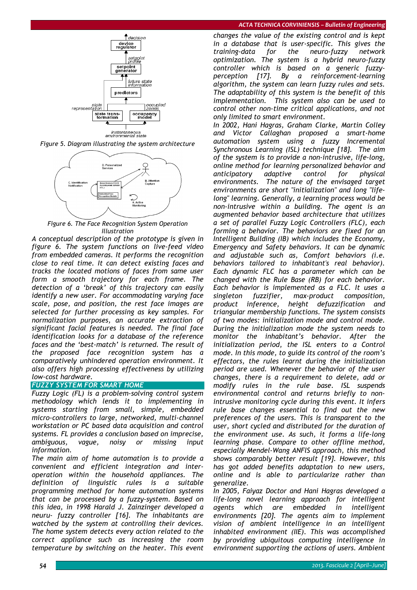

*Figure 5. Diagram illustrating the system architecture* 



*Figure 6. The Face Recognition System Operation Illustration*

*A conceptual description of the prototype is given in figure 6. The system functions on live-feed video from embedded cameras. It performs the recognition close to real time. It can detect existing faces and tracks the located motions of faces from same user form a smooth trajectory for each frame. The detection of a 'break' of this trajectory can easily identify a new user. For accommodating varying face scale, pose, and position, the rest face images are selected for further processing as key samples. For normalization purposes, an accurate extraction of significant facial features is needed. The final face identification looks for a database of the reference faces and the 'best-match' is returned. The result of the proposed face recognition system has a comparatively unhindered operation environment. It also offers high processing effectiveness by utilizing low-cost hardware.* 

## *FUZZY SYSTEM FOR SMART HOME*

*Fuzzy Logic (FL) is a problem-solving control system methodology which lends it to implementing in systems starting from small, simple, embedded micro-controllers to large, networked, multi-channel workstation or PC based data acquisition and control systems. FL provides a conclusion based on imprecise, ambiguous, vague, noisy or missing input information.* 

*The main aim of home automation is to provide a convenient and efficient integration and interoperation within the household appliances. The definition of linguistic rules is a suitable programming method for home automation systems that can be processed by a fuzzy-system. Based on this idea, in 1998 Harald J. Zainzinger developed a neuru- fuzzy controller [16]. The inhabitants are watched by the system at controlling their devices. The home system detects every action related to the correct appliance such as increasing the room temperature by switching on the heater. This event* 

*changes the value of the existing control and is kept in a database that is user-specific. This gives the training-data for the neuro-fuzzy network optimization. The system is a hybrid neuro-fuzzy controller which is based on a generic fuzzyperception [17]. By a reinforcement-learning algorithm, the system can learn fuzzy rules and sets. The adaptability of this system is the benefit of this implementation. This system also can be used to control other non-time critical applications, and not only limited to smart environment.* 

*In 2002, Hani Hagras, Graham Clarke, Martin Colley and Victor Callaghan proposed a smart-home automation system using a fuzzy Incremental Synchronous Learning (ISL) technique [18]. The aim of the system is to provide a non-intrusive, life-long, online method for learning personalized behavior and anticipatory adaptive control for physical environments. The nature of the envisaged target environments are short "initialization" and long "lifelong" learning. Generally, a learning process would be non-intrusive within a building. The agent is an augmented behavior based architecture that utilizes a set of parallel Fuzzy Logic Controllers (FLC), each forming a behavior. The behaviors are fixed for an Intelligent Building (IB) which includes the Economy, Emergency and Safety behaviors. It can be dynamic and adjustable such as, Comfort behaviors (i.e. behaviors tailored to inhabitant's real behavior). Each dynamic FLC has a parameter which can be changed with the Rule Base (RB) for each behavior. Each behavior is implemented as a FLC. It uses a singleton fuzzifier, max-product composition, product inference, height defuzzification and triangular membership functions. The system consists of two modes: initialization mode and control mode. During the initialization mode the system needs to monitor the inhabitant's behavior. After the initialization period, the ISL enters to a Control mode. In this mode, to guide its control of the room's effectors, the rules learnt during the initialization period are used. Whenever the behavior of the user changes, there is a requirement to delete, add or modify rules in the rule base. ISL suspends environmental control and returns briefly to nonintrusive monitoring cycle during this event. It infers rule base changes essential to find out the new preferences of the users. This is transparent to the user, short cycled and distributed for the duration of the environment use. As such, it forms a life-long learning phase. Compare to other offline method, especially Mendel-Wang ANFlS approach, this method shows comparably better result [19]. However, this has got added benefits adaptation to new users, online and is able to particularize rather than generalize.* 

*In 2005, Faiyaz Doctor and Hani Hagras developed a life-long novel learning approach for intelligent agents which are embedded in intelligent environments [20]. The agents aim to implement vision of ambient intelligence in an intelligent inhabited environment (IIE). This was accomplished by providing ubiquitous computing intelligence in environment supporting the actions of users. Ambient*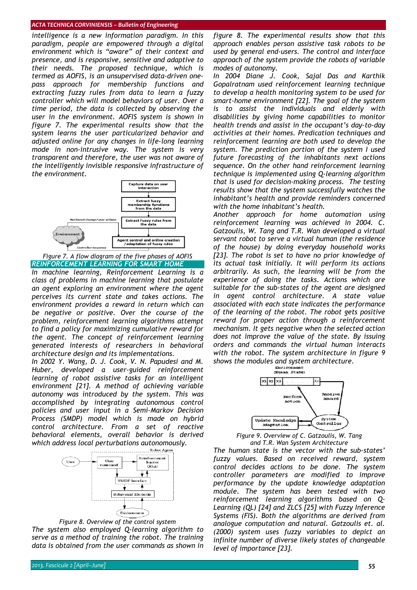*intelligence is a new information paradigm. In this paradigm, people are empowered through a digital environment which is "aware" of their context and presence, and is responsive, sensitive and adaptive to their needs. The proposed technique, which is termed as AOFIS, is an unsupervised data-driven onepass approach for membership functions and extracting fuzzy rules from data to learn a fuzzy controller which will model behaviors of user. Over a time period, the data is collected by observing the user in the environment. AOFIS system is shown in figure 7. The experimental results show that the system learns the user particularized behavior and adjusted online for any changes in life-long learning mode in non-intrusive way. The system is very transparent and therefore, the user was not aware of the intelligently invisible responsive infrastructure of the environment.* 



*Figure 7. A flow diagram of the five phases of AOFIS REINFORCEMENT LEARNING FOR SMART HOME*

*In machine learning, Reinforcement Learning is a class of problems in machine learning that postulate an agent exploring an environment where the agent perceives its current state and takes actions. The environment provides a reward in return which can be negative or positive. Over the course of the problem, reinforcement learning algorithms attempt to find a policy for maximizing cumulative reward for the agent. The concept of reinforcement learning generated interests of researchers in behavioral architecture design and its implementations.* 

*In 2002 Y. Wang, D. J. Cook, V. N. Papudesi and M. Huber, developed a user-guided reinforcement learning of robot assistive tasks for an intelligent environment [21]. A method of achieving variable autonomy was introduced by the system. This was accomplished by integrating autonomous control policies and user input in a Semi-Markov Decision Process (SMDP) model which is made on hybrid control architecture. From a set of reactive behavioral elements, overall behavior is derived which address local perturbations autonomously.* 





*The system also employed Q-learning algorithm to serve as a method of training the robot. The training data is obtained from the user commands as shown in*  *figure 8. The experimental results show that this approach enables person assistive task robots to be used by general end-users. The control and interface approach of the system provide the robots of variable modes of autonomy.* 

*In 2004 Diane J. Cook, Sajal Das and Karthik Gopalratnam used reinforcement learning technique to develop a health monitoring system to be used for smart-home environment [22]. The goal of the system is to assist the individuals and elderly with disabilities by giving home capabilities to monitor health trends and assist in the occupant's day-to-day activities at their homes. Predication techniques and reinforcement learning are both used to develop the system. The prediction portion of the system I used future forecasting of the inhabitants next actions sequence. On the other hand reinforcement learning technique is implemented using Q-learning algorithm that is used for decision-making process. The testing results show that the system successfully watches the inhabitant's health and provide reminders concerned with the home inhabitant's health.* 

*Another approach for home automation using reinforcement learning was achieved in 2004. C. Gatzoulis, W. Tang and T.R. Wan developed a virtual servant robot to serve a virtual human (the residence of the house) by doing everyday household works [23]. The robot is set to have no prior knowledge of its actual task initially. It will perform its actions arbitrarily. As such, the learning will be from the experience of doing the tasks. Actions which are suitable for the sub-states of the agent are designed in agent control architecture. A state value associated with each state indicates the performance of the learning of the robot. The robot gets positive reward for proper action through a reinforcement mechanism. It gets negative when the selected action does not improve the value of the state. By issuing orders and commands the virtual human interacts with the robot. The system architecture in figure 9* 



*Figure 9. Overview of C. Gatzoulis, W. Tang and T.R. Wan System Architecture*

*The human state is the vector with the sub-states' fuzzy values. Based on received reward, system control decides actions to be done. The system controller parameters are modified to improve performance by the update knowledge adaptation module. The system has been tested with two reinforcement learning algorithms based on Q-Learning (QL) [24] and ZLCS [25] with Fuzzy Inference Systems (FIS). Both the algorithms are derived from analogue computation and natural. Gatzoulis et. al. (2000) system uses fuzzy variables to depict an infinite number of diverse likely states of changeable level of importance [23].*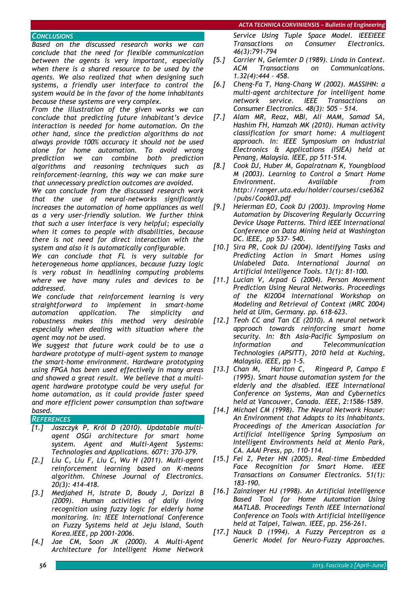## *CONCLUSIONS*

*Based on the discussed research works we can conclude that the need for flexible communication between the agents is very important, especially when there is a shared resource to be used by the agents. We also realized that when designing such systems, a friendly user interface to control the system would be in the favor of the home inhabitants because these systems are very complex.* 

*From the illustration of the given works we can conclude that predicting future inhabitant's device interaction is needed for home automation. On the other hand, since the prediction algorithms do not always provide 100% accuracy it should not be used alone for home automation. To avoid wrong prediction we can combine both prediction algorithms and reasoning techniques such as reinforcement-learning, this way we can make sure that unnecessary prediction outcomes are avoided.* 

*We can conclude from the discussed research work that the use of neural-networks significantly increases the automation of home appliances as well as a very user-friendly solution. We further think that such a user interface is very helpful; especially when it comes to people with disabilities, because there is not need for direct interaction with the system and also it is automatically configurable.* 

*We can conclude that FL is very suitable for heterogeneous home appliances, because fuzzy logic is very robust in headlining computing problems where we have many rules and devices to be addressed.* 

*We conclude that reinforcement learning is very straightforward to implement in smart-home automation application. The simplicity and robustness makes this method very desirable especially when dealing with situation where the agent may not be used.* 

*We suggest that future work could be to use a hardware prototype of multi-agent system to manage the smart-home environment. Hardware prototyping using FPGA has been used effectively in many areas and showed a great result. We believe that a multiagent hardware prototype could be very useful for home automation, as it could provide faster speed and more efficient power consumption than software based.*

## *REFERENCES*

- *[1.] Jaszczyk P, Król D (2010). Updatable multiagent OSGi architecture for smart home system. Agent and Multi-Agent Systems: Technologies and Applications. 6071: 370-379.*
- *[2.] Liu C, Liu F, Liu C, Wu H (2011). Multi-agent reinforcement learning based on K-means algorithm. Chinese Journal of Electronics. 20(3): 414-418.*
- *[3.] Medjahed H, Istrate D, Boudy J, Dorizzi B (2009). Human activities of daily living recognition using fuzzy logic for elderly home monitoring. In: IEEE International Conference on Fuzzy Systems held at Jeju Island, South Korea.IEEE, pp 2001-2006.*
- *[4.] Jae CM, Soon JK (2000). A Multi-Agent Architecture for Intelligent Home Network*

*Service Using Tuple Space Model. IEEEIEEE Transactions on Consumer Electronics. 46(3):791-794* 

- *[5.] Carrier N, Gelemter D (1989). Linda in Context. ACM Transactions on Communications. 1.32(4):444 – 458.*
- *[6.] Cheng-Fa T, Hang-Chang W (2002). MASSIHN: a multi-agent architecture for intelligent home network service. IEEE Transactions on Consumer Electronics. 48(3): 505 – 514.*
- *[7.] Alam MR, Reaz, MBI, Ali MAM, Samad SA, Hashim FH, Hamzah MK (2010). Human activity classification for smart home: A multiagent approach. In: IEEE Symposium on Industrial Electronics & Applications (ISIEA) held at Penang, Malaysia. IEEE, pp 511-514.*
- *[8.] Cook DJ, Huber M, Gopalratnam K, Youngblood M (2003). Learning to Control a Smart Home Environment. Available from http://ranger.uta.edu/holder/courses/cse6362 /pubs/Cook03.pdf*
- *[9.] Heierman EO, Cook DJ (2003). Improving Home Automation by Discovering Regularly Occurring Device Usage Patterns. Third IEEE International Conference on Data Mining held at Washington DC. IEEE, pp 537- 540.*
- *[10.] Sira PR, Cook DJ (2004). Identifying Tasks and Predicting Action in Smart Homes using Unlabeled Data. International Journal on Artificial Intelligence Tools. 13(1): 81-100.*
- *[11.] Lucian V, Arpad G (2004). Person Movement Prediction Using Neural Networks. Proceedings of the KI2004 International Workshop on Modeling and Retrieval of Context (MRC 2004) held at Ulm, Germany. pp. 618-623.*
- *[12.] Teoh CC and Tan CE (2010). A neural network approach towards reinforcing smart home security. In: 8th Asia-Pacific Symposium on Information and Telecommunication Technologies (APSITT), 2010 held at Kuching, Malaysia. IEEE, pp 1-5.*
- *[13.] Chan M, Hariton C, Ringeard P, Campo E (1995). Smart house automation system for the elderly and the disabled. IEEE International Conference on Systems, Man and Cybernetics held at Vancouver, Canada. IEEE, 2:1586-1589.*
- *[14.] Michael CM (1998). The Neural Network House: An Environment that Adapts to its Inhabitants. Proceedings of the American Association for Artificial Intelligence Spring Symposium on Intelligent Environments held at Menlo Park, CA. AAAI Press, pp. 110-114.*
- *[15.] Fei Z, Peter HN (2005). Real-time Embedded Face Recognition for Smart Home. IEEE Transactions on Consumer Electronics. 51(1): 183-190.*
- *[16.] Zainzinger HJ (1998). An Artificial Intelligence Based Tool for Home Automation Using MATLAB. Proceedings Tenth IEEE International Conference on Tools with Artificial Intelligence held at Taipei, Taiwan. IEEE, pp. 256-261.*
- *[17.] Nauck D (1994). A Fuzzy Perceptron as a Generic Model for Neuro-Fuzzy Approaches.*